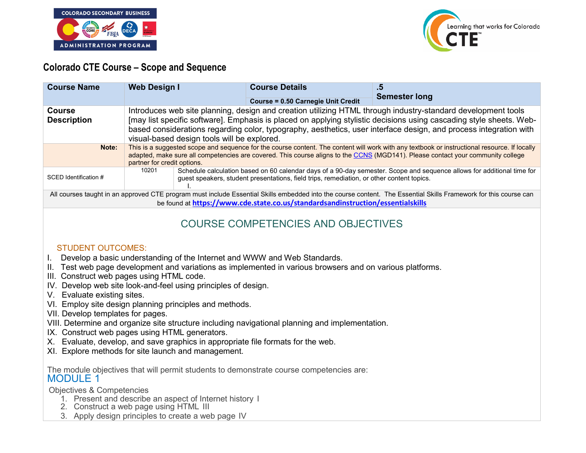



### **Colorado CTE Course – Scope and Sequence**

| <b>Course Name</b>                                                                                                                                               | <b>Web Design I</b>                                                                                                                                                                                                                                                                                                                                                                                     | <b>Course Details</b><br><b>Course = 0.50 Carnegie Unit Credit</b> | -5<br><b>Semester long</b> |
|------------------------------------------------------------------------------------------------------------------------------------------------------------------|---------------------------------------------------------------------------------------------------------------------------------------------------------------------------------------------------------------------------------------------------------------------------------------------------------------------------------------------------------------------------------------------------------|--------------------------------------------------------------------|----------------------------|
| <b>Course</b><br><b>Description</b>                                                                                                                              | Introduces web site planning, design and creation utilizing HTML through industry-standard development tools<br>[may list specific software]. Emphasis is placed on applying stylistic decisions using cascading style sheets. Web-<br>based considerations regarding color, typography, aesthetics, user interface design, and process integration with<br>visual-based design tools will be explored. |                                                                    |                            |
| Note:                                                                                                                                                            | This is a suggested scope and sequence for the course content. The content will work with any textbook or instructional resource. If locally<br>adapted, make sure all competencies are covered. This course aligns to the CCNS (MGD141). Please contact your community college<br>partner for credit options.                                                                                          |                                                                    |                            |
| SCED Identification #                                                                                                                                            | Schedule calculation based on 60 calendar days of a 90-day semester. Scope and sequence allows for additional time for<br>10201<br>guest speakers, student presentations, field trips, remediation, or other content topics.                                                                                                                                                                            |                                                                    |                            |
| All courses taught in an approved CTE program must include Essential Skills embedded into the course content. The Essential Skills Framework for this course can |                                                                                                                                                                                                                                                                                                                                                                                                         |                                                                    |                            |
| be found at https://www.cde.state.co.us/standardsandinstruction/essentialskills                                                                                  |                                                                                                                                                                                                                                                                                                                                                                                                         |                                                                    |                            |

# COURSE COMPETENCIES AND OBJECTIVES

#### STUDENT OUTCOMES:

- I. Develop a basic understanding of the Internet and WWW and Web Standards.
- II. Test web page development and variations as implemented in various browsers and on various platforms.
- III. Construct web pages using HTML code.
- IV. Develop web site look-and-feel using principles of design.
- V. Evaluate existing sites.
- VI. Employ site design planning principles and methods.
- VII. Develop templates for pages.
- VIII. Determine and organize site structure including navigational planning and implementation.
- IX. Construct web pages using HTML generators.
- X. Evaluate, develop, and save graphics in appropriate file formats for the web.
- XI. Explore methods for site launch and management.

The module objectives that will permit students to demonstrate course competencies are: MODULE 1

Objectives & Competencies

- 1. Present and describe an aspect of Internet history I
- 2. Construct a web page using HTML III
- 3. Apply design principles to create a web page IV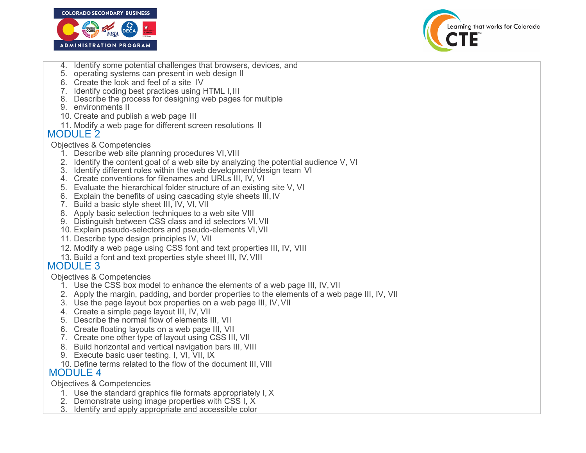



- 4. Identify some potential challenges that browsers, devices, and
- 5. operating systems can present in web design II
- 6. Create the look and feel of a site IV
- 7. Identify coding best practices using HTML I, III
- 8. Describe the process for designing web pages for multiple
- 9. environments II
- 10. Create and publish a web page III
- 11. Modify a web page for different screen resolutions II

### MODULE 2

#### Objectives & Competencies

- 1. Describe web site planning procedures VI,VIII
- 2. Identify the content goal of a web site by analyzing the potential audience V, VI
- 3. Identify different roles within the web development/design team VI
- 4. Create conventions for filenames and URLs III, IV, VI
- 5. Evaluate the hierarchical folder structure of an existing site V, VI
- 6. Explain the benefits of using cascading style sheets III, IV
- 7. Build a basic style sheet III, IV, VI, VII
- 8. Apply basic selection techniques to a web site VIII
- 9. Distinguish between CSS class and id selectors VI, VII
- 10. Explain pseudo-selectors and pseudo-elements VI, VII
- 11. Describe type design principles IV, VII
- 12. Modify a web page using CSS font and text properties III, IV, VIII
- 13. Build a font and text properties style sheet III, IV, VIII

## MODULE 3

Objectives & Competencies

- 1. Use the CSS box model to enhance the elements of a web page III, IV, VII
- 2. Apply the margin, padding, and border properties to the elements of a web page III, IV, VII
- 3. Use the page layout box properties on a web page III, IV, VII
- 4. Create a simple page layout III, IV, VII
- 5. Describe the normal flow of elements III, VII
- 6. Create floating layouts on a web page III, VII
- 7. Create one other type of layout using CSS III, VII
- 8. Build horizontal and vertical navigation bars III, VIII
- 9. Execute basic user testing. I, VI, VII, IX
- 10. Define terms related to the flow of the document III, VIII

### MODULE 4

Objectives & Competencies

- 1. Use the standard graphics file formats appropriately I, X
- 2. Demonstrate using image properties with CSS I, X
- 3. Identify and apply appropriate and accessible color